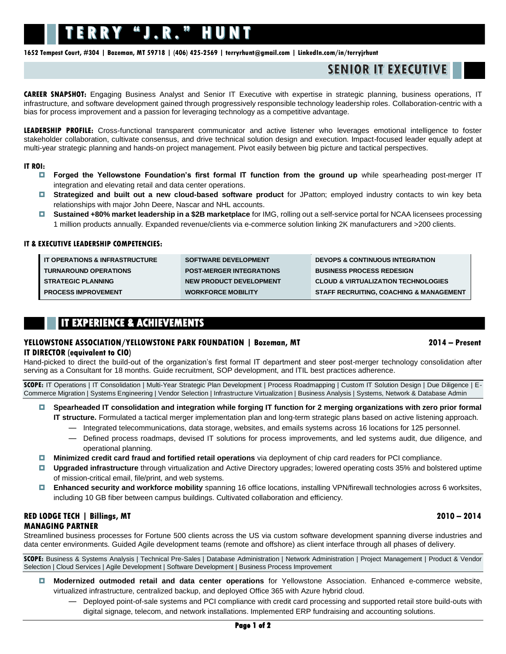# TERRY "J.R." HUNT

**1652 Tempest Court, #304 | Bozeman, MT 59718 | (406) 425-2569 | [terryrhunt@gmail.com](mailto:terryrhunt@gmail.com) [| LinkedIn.com/in/terryjrhunt](http://www.linkedin.com/in/terryjrhunt)**

# **SENIOR IT EXECUTIVE**

**CAREER SNAPSHOT:** Engaging Business Analyst and Senior IT Executive with expertise in strategic planning, business operations, IT infrastructure, and software development gained through progressively responsible technology leadership roles. Collaboration-centric with a bias for process improvement and a passion for leveraging technology as a competitive advantage.

**LEADERSHIP PROFILE:** Cross-functional transparent communicator and active listener who leverages emotional intelligence to foster stakeholder collaboration, cultivate consensus, and drive technical solution design and execution. Impact-focused leader equally adept at multi-year strategic planning and hands-on project management. Pivot easily between big picture and tactical perspectives.

#### **IT ROI:**

- **Forged the Yellowstone Foundation's first formal IT function from the ground up** while spearheading post-merger IT integration and elevating retail and data center operations.
- **Strategized and built out a new cloud-based software product** for JPatton; employed industry contacts to win key beta relationships with major John Deere, Nascar and NHL accounts.
- **Sustained +80% market leadership in a \$2B marketplace** for IMG, rolling out a self-service portal for NCAA licensees processing 1 million products annually. Expanded revenue/clients via e-commerce solution linking 2K manufacturers and >200 clients.

#### **IT & EXECUTIVE LEADERSHIP COMPETENCIES:**

| <b>I IT OPERATIONS &amp; INFRASTRUCTURE</b> | <b>SOFTWARE DEVELOPMENT</b>     | <b>DEVOPS &amp; CONTINUOUS INTEGRATION</b>         |
|---------------------------------------------|---------------------------------|----------------------------------------------------|
| <b>TURNAROUND OPERATIONS</b>                | <b>POST-MERGER INTEGRATIONS</b> | <b>BUSINESS PROCESS REDESIGN</b>                   |
| <b>STRATEGIC PLANNING</b>                   | NEW PRODUCT DEVELOPMENT         | <b>CLOUD &amp; VIRTUALIZATION TECHNOLOGIES</b>     |
| <b>PROCESS IMPROVEMENT</b>                  | <b>WORKFORCE MOBILITY</b>       | <b>STAFF RECRUITING, COACHING &amp; MANAGEMENT</b> |

### **IT EXPERIENCE & ACHIEVEMENTS**

# **YELLOWSTONE ASSOCIATION/YELLOWSTONE PARK FOUNDATION | Bozeman, MT 2014 – Present**

#### **IT DIRECTOR (equivalent to CIO)**

Hand-picked to direct the build-out of the organization's first formal IT department and steer post-merger technology consolidation after serving as a Consultant for 18 months. Guide recruitment, SOP development, and ITIL best practices adherence.

**SCOPE:** IT Operations | IT Consolidation | Multi-Year Strategic Plan Development | Process Roadmapping | Custom IT Solution Design | Due Diligence | E-Commerce Migration | Systems Engineering | Vendor Selection | Infrastructure Virtualization | Business Analysis | Systems, Network & Database Admin

- **Spearheaded IT consolidation and integration while forging IT function for 2 merging organizations with zero prior formal IT structure.** Formulated a tactical merger implementation plan and long-term strategic plans based on active listening approach.
	- ― Integrated telecommunications, data storage, websites, and emails systems across 16 locations for 125 personnel.
	- ― Defined process roadmaps, devised IT solutions for process improvements, and led systems audit, due diligence, and operational planning.
- **Minimized credit card fraud and fortified retail operations** via deployment of chip card readers for PCI compliance.
- **Upgraded infrastructure** through virtualization and Active Directory upgrades; lowered operating costs 35% and bolstered uptime of mission-critical email, file/print, and web systems.
- **Enhanced security and workforce mobility** spanning 16 office locations, installing VPN/firewall technologies across 6 worksites, including 10 GB fiber between campus buildings. Cultivated collaboration and efficiency.

#### **RED LODGE TECH | Billings, MT 2010 – 2014 MANAGING PARTNER**

Streamlined business processes for Fortune 500 clients across the US via custom software development spanning diverse industries and data center environments. Guided Agile development teams (remote and offshore) as client interface through all phases of delivery.

**SCOPE:** Business & Systems Analysis | Technical Pre-Sales | Database Administration | Network Administration | Project Management | Product & Vendor Selection | Cloud Services | Agile Development | Software Development | Business Process Improvement

- **Modernized outmoded retail and data center operations** for Yellowstone Association. Enhanced e-commerce website, virtualized infrastructure, centralized backup, and deployed Office 365 with Azure hybrid cloud.
	- ― Deployed point-of-sale systems and PCI compliance with credit card processing and supported retail store build-outs with digital signage, telecom, and network installations. Implemented ERP fundraising and accounting solutions.